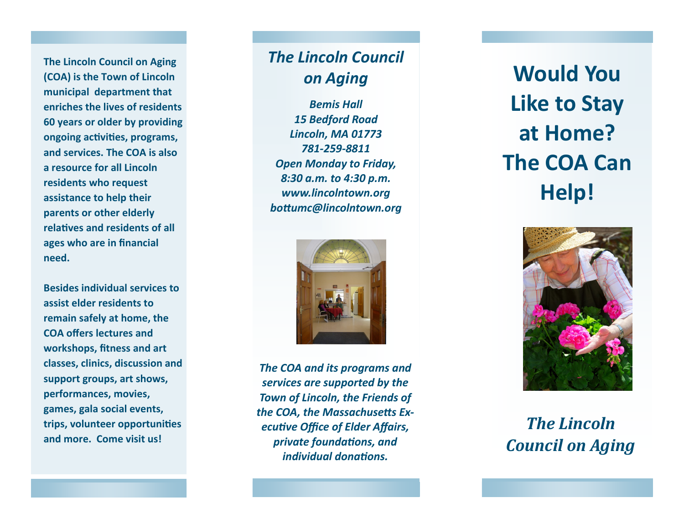**The Lincoln Council on Aging (COA) is the Town of Lincoln municipal department that enriches the lives of residents 60 years or older by providing ongoing activities, programs, and services. The COA is also a resource for all Lincoln residents who request assistance to help their parents or other elderly relatives and residents of all ages who are in financial need.** 

**Besides individual services to assist elder residents to remain safely at home, the COA offers lectures and workshops, fitness and art classes, clinics, discussion and support groups, art shows, performances, movies, games, gala social events, trips, volunteer opportunities and more. Come visit us!**

## *The Lincoln Council on Aging*

*Bemis Hall 15 Bedford Road Lincoln, MA 01773 781 -259 -8811 Open Monday to Friday, 8:30 a.m. to 4:30 p.m. www.lincolntown.org [bottumc@lincolntown.org](mailto:bottumc@lincolntown.org)*



*The COA and its programs and services are supported by the Town of Lincoln, the Friends of the COA, the Massachusetts Executive Office of Elder Affairs, private foundations, and individual donations.*

**Would You Like to Stay at Home? The COA Can Help!**



*The Lincoln Council on Aging*